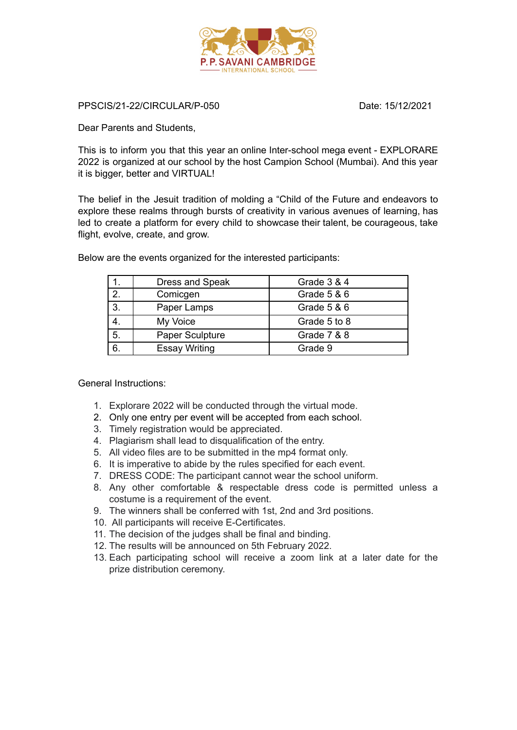

PPSCIS/21-22/CIRCULAR/P-050 Date: 15/12/2021

Dear Parents and Students,

This is to inform you that this year an online Inter-school mega event - EXPLORARE 2022 is organized at our school by the host Campion School (Mumbai). And this year it is bigger, better and VIRTUAL!

The belief in the Jesuit tradition of molding a "Child of the Future and endeavors to explore these realms through bursts of creativity in various avenues of learning, has led to create a platform for every child to showcase their talent, be courageous, take flight, evolve, create, and grow.

|    | Dress and Speak      | Grade 3 & 4  |
|----|----------------------|--------------|
| 2. | Comicgen             | Grade 5 & 6  |
| 3. | Paper Lamps          | Grade 5 & 6  |
|    | My Voice             | Grade 5 to 8 |
| 5. | Paper Sculpture      | Grade 7 & 8  |
| 6. | <b>Essay Writing</b> | Grade 9      |

Below are the events organized for the interested participants:

General Instructions:

- 1. Explorare 2022 will be conducted through the virtual mode.
- 2. Only one entry per event will be accepted from each school.
- 3. Timely registration would be appreciated.
- 4. Plagiarism shall lead to disqualification of the entry.
- 5. All video files are to be submitted in the mp4 format only.
- 6. It is imperative to abide by the rules specified for each event.
- 7. DRESS CODE: The participant cannot wear the school uniform.
- 8. Any other comfortable & respectable dress code is permitted unless a costume is a requirement of the event.
- 9. The winners shall be conferred with 1st, 2nd and 3rd positions.
- 10. All participants will receive E-Certificates.
- 11. The decision of the judges shall be final and binding.
- 12. The results will be announced on 5th February 2022.
- 13. Each participating school will receive a zoom link at a later date for the prize distribution ceremony.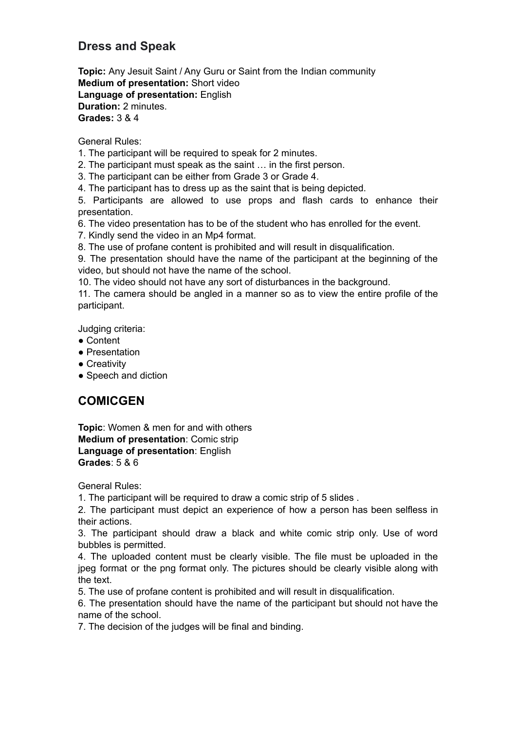## **Dress and Speak**

**Topic:** Any Jesuit Saint / Any Guru or Saint from the Indian community **Medium of presentation:** Short video **Language of presentation:** English **Duration:** 2 minutes. **Grades:** 3 & 4

General Rules:

- 1. The participant will be required to speak for 2 minutes.
- 2. The participant must speak as the saint … in the first person.
- 3. The participant can be either from Grade 3 or Grade 4.
- 4. The participant has to dress up as the saint that is being depicted.

5. Participants are allowed to use props and flash cards to enhance their presentation.

- 6. The video presentation has to be of the student who has enrolled for the event.
- 7. Kindly send the video in an Mp4 format.

8. The use of profane content is prohibited and will result in disqualification.

9. The presentation should have the name of the participant at the beginning of the video, but should not have the name of the school.

10. The video should not have any sort of disturbances in the background.

11. The camera should be angled in a manner so as to view the entire profile of the participant.

Judging criteria:

- Content
- Presentation
- Creativity
- Speech and diction

# **COMICGEN**

**Topic**: Women & men for and with others **Medium of presentation**: Comic strip **Language of presentation**: English **Grades**: 5 & 6

General Rules:

1. The participant will be required to draw a comic strip of 5 slides .

2. The participant must depict an experience of how a person has been selfless in their actions.

3. The participant should draw a black and white comic strip only. Use of word bubbles is permitted.

4. The uploaded content must be clearly visible. The file must be uploaded in the jpeg format or the png format only. The pictures should be clearly visible along with the text.

5. The use of profane content is prohibited and will result in disqualification.

6. The presentation should have the name of the participant but should not have the name of the school.

7. The decision of the judges will be final and binding.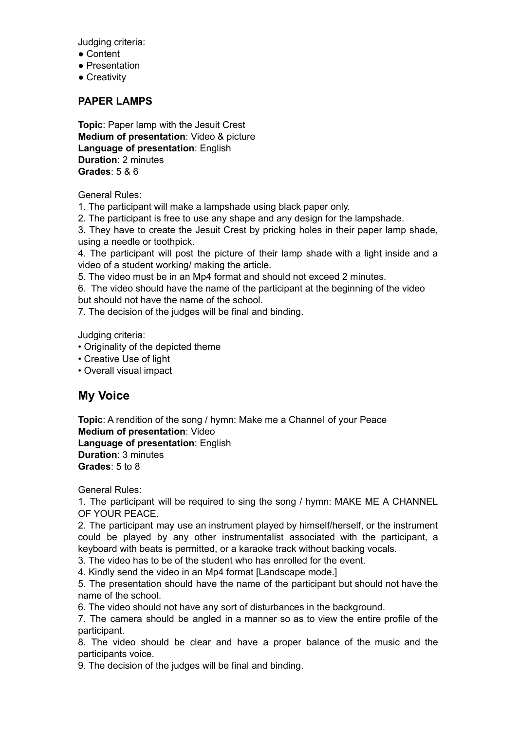Judging criteria:

- Content
- Presentation
- Creativity

### **PAPER LAMPS**

**Topic**: Paper lamp with the Jesuit Crest **Medium of presentation**: Video & picture **Language of presentation**: English **Duration**: 2 minutes **Grades**: 5 & 6

General Rules:

1. The participant will make a lampshade using black paper only.

2. The participant is free to use any shape and any design for the lampshade.

3. They have to create the Jesuit Crest by pricking holes in their paper lamp shade, using a needle or toothpick.

4. The participant will post the picture of their lamp shade with a light inside and a video of a student working/ making the article.

5. The video must be in an Mp4 format and should not exceed 2 minutes.

6. The video should have the name of the participant at the beginning of the video but should not have the name of the school.

7. The decision of the judges will be final and binding.

Judging criteria:

- Originality of the depicted theme
- Creative Use of light
- Overall visual impact

## **My Voice**

**Topic**: A rendition of the song / hymn: Make me a Channel of your Peace **Medium of presentation**: Video **Language of presentation**: English **Duration**: 3 minutes **Grades**: 5 to 8

General Rules:

1. The participant will be required to sing the song / hymn: MAKE ME A CHANNEL OF YOUR PEACE.

2. The participant may use an instrument played by himself/herself, or the instrument could be played by any other instrumentalist associated with the participant, a keyboard with beats is permitted, or a karaoke track without backing vocals.

3. The video has to be of the student who has enrolled for the event.

4. Kindly send the video in an Mp4 format [Landscape mode.]

5. The presentation should have the name of the participant but should not have the name of the school.

6. The video should not have any sort of disturbances in the background.

7. The camera should be angled in a manner so as to view the entire profile of the participant.

8. The video should be clear and have a proper balance of the music and the participants voice.

9. The decision of the judges will be final and binding.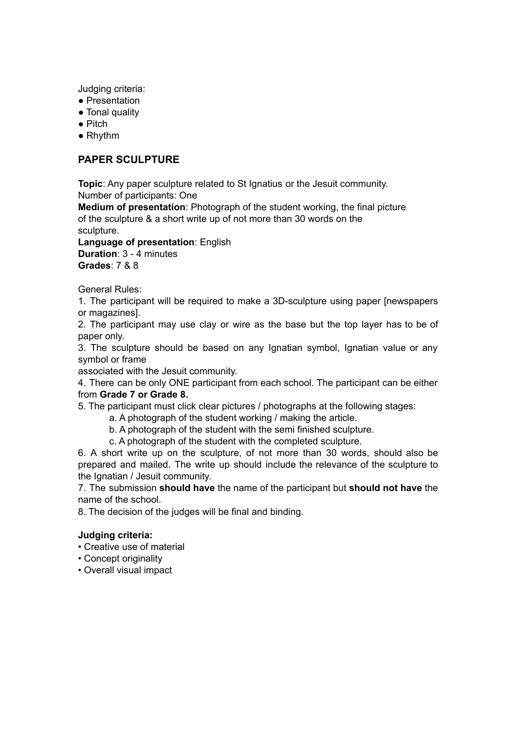Judging criteria:

- Presentation
- Tonal quality
- Pitch
- Rhythm

## **PAPER SCULPTURE**

**Topic**: Any paper sculpture related to St Ignatius or the Jesuit community. Number of participants: One

**Medium of presentation**: Photograph of the student working, the final picture of the sculpture & a short write up of not more than 30 words on the sculpture.

**Language of presentation**: English **Duration**: 3 - 4 minutes **Grades**: 7 & 8

General Rules:

1. The participant will be required to make a 3D-sculpture using paper [newspapers or magazines].

2. The participant may use clay or wire as the base but the top layer has to be of paper only.

3. The sculpture should be based on any Ignatian symbol, Ignatian value or any symbol or frame

associated with the Jesuit community.

4. There can be only ONE participant from each school. The participant can be either from **Grade 7 or Grade 8.**

5. The participant must click clear pictures / photographs at the following stages:

- a. A photograph of the student working / making the article.
- b. A photograph of the student with the semi finished sculpture.
- c. A photograph of the student with the completed sculpture.

6. A short write up on the sculpture, of not more than 30 words, should also be prepared and mailed. The write up should include the relevance of the sculpture to the Ignatian / Jesuit community.

7. The submission **should have** the name of the participant but **should not have** the name of the school.

8. The decision of the judges will be final and binding.

### **Judging criteria:**

- Creative use of material
- Concept originality
- Overall visual impact